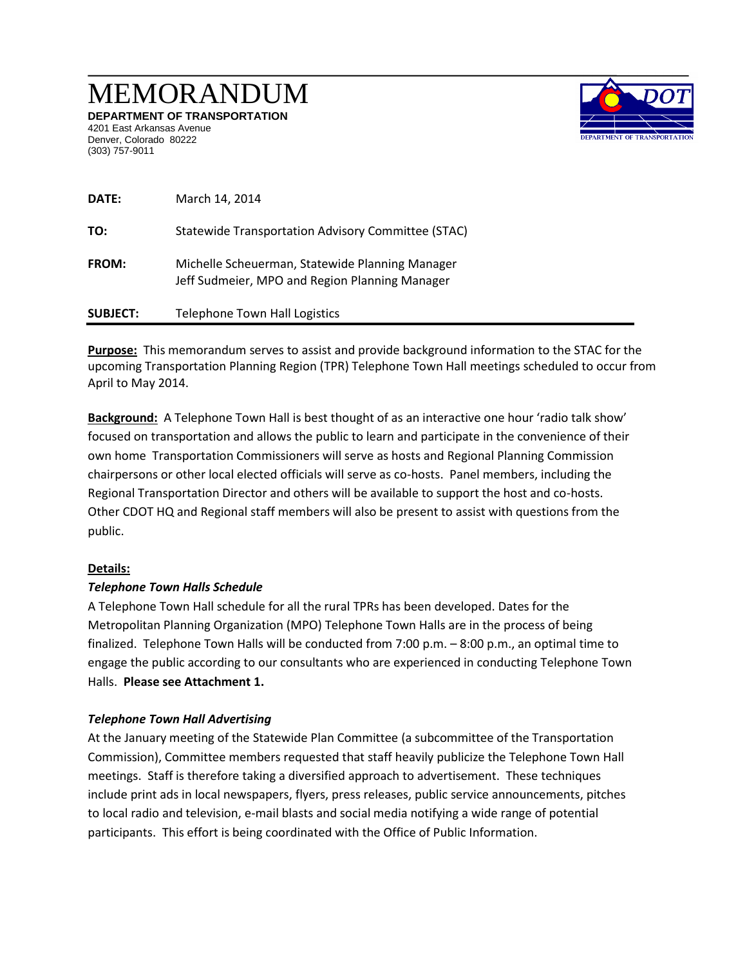# MEMORANDUM

**DEPARTMENT OF TRANSPORTATION**  4201 East Arkansas Avenue Denver, Colorado 80222 (303) 757-9011



| DATE:           | March 14, 2014                                                                                    |
|-----------------|---------------------------------------------------------------------------------------------------|
| TO:             | Statewide Transportation Advisory Committee (STAC)                                                |
| <b>FROM:</b>    | Michelle Scheuerman, Statewide Planning Manager<br>Jeff Sudmeier, MPO and Region Planning Manager |
| <b>SUBJECT:</b> | <b>Telephone Town Hall Logistics</b>                                                              |

**Purpose:** This memorandum serves to assist and provide background information to the STAC for the upcoming Transportation Planning Region (TPR) Telephone Town Hall meetings scheduled to occur from April to May 2014.

**Background:** A Telephone Town Hall is best thought of as an interactive one hour 'radio talk show' focused on transportation and allows the public to learn and participate in the convenience of their own home Transportation Commissioners will serve as hosts and Regional Planning Commission chairpersons or other local elected officials will serve as co-hosts. Panel members, including the Regional Transportation Director and others will be available to support the host and co-hosts. Other CDOT HQ and Regional staff members will also be present to assist with questions from the public.

#### **Details:**

# *Telephone Town Halls Schedule*

A Telephone Town Hall schedule for all the rural TPRs has been developed. Dates for the Metropolitan Planning Organization (MPO) Telephone Town Halls are in the process of being finalized. Telephone Town Halls will be conducted from 7:00 p.m. – 8:00 p.m., an optimal time to engage the public according to our consultants who are experienced in conducting Telephone Town Halls. **Please see Attachment 1.**

# *Telephone Town Hall Advertising*

At the January meeting of the Statewide Plan Committee (a subcommittee of the Transportation Commission), Committee members requested that staff heavily publicize the Telephone Town Hall meetings. Staff is therefore taking a diversified approach to advertisement. These techniques include print ads in local newspapers, flyers, press releases, public service announcements, pitches to local radio and television, e-mail blasts and social media notifying a wide range of potential participants. This effort is being coordinated with the Office of Public Information.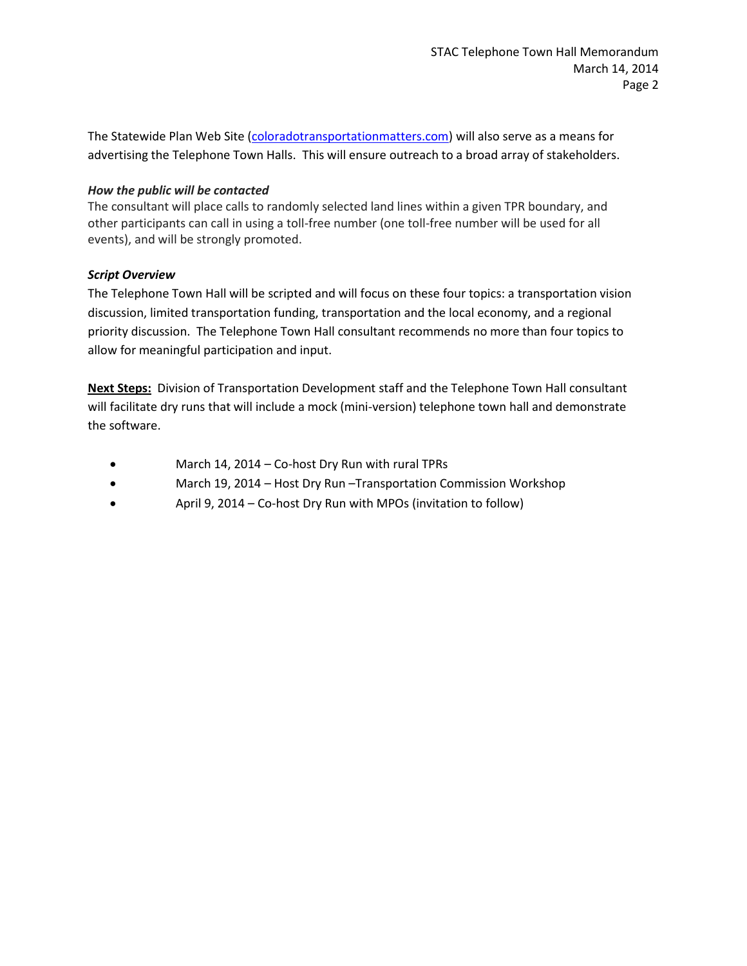The Statewide Plan Web Site [\(coloradotransportationmatters.com\)](../../../../../../../../../../../../../../../../../../../../Downloads/Chrome/coloradotransportationmatters.com) will also serve as a means for advertising the Telephone Town Halls. This will ensure outreach to a broad array of stakeholders.

#### *How the public will be contacted*

The consultant will place calls to randomly selected land lines within a given TPR boundary, and other participants can call in using a toll-free number (one toll-free number will be used for all events), and will be strongly promoted.

#### *Script Overview*

The Telephone Town Hall will be scripted and will focus on these four topics: a transportation vision discussion, limited transportation funding, transportation and the local economy, and a regional priority discussion. The Telephone Town Hall consultant recommends no more than four topics to allow for meaningful participation and input.

**Next Steps:** Division of Transportation Development staff and the Telephone Town Hall consultant will facilitate dry runs that will include a mock (mini-version) telephone town hall and demonstrate the software.

- March 14, 2014 Co-host Dry Run with rural TPRs
- March 19, 2014 Host Dry Run –Transportation Commission Workshop
- April 9, 2014 Co-host Dry Run with MPOs (invitation to follow)